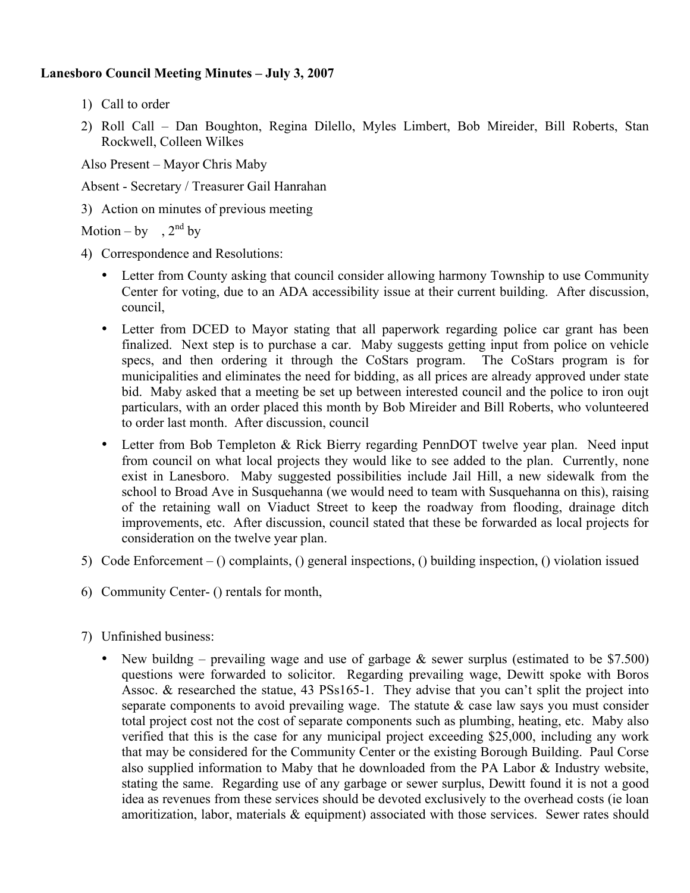## **Lanesboro Council Meeting Minutes – July 3, 2007**

- 1) Call to order
- 2) Roll Call Dan Boughton, Regina Dilello, Myles Limbert, Bob Mireider, Bill Roberts, Stan Rockwell, Colleen Wilkes

Also Present – Mayor Chris Maby

Absent - Secretary / Treasurer Gail Hanrahan

3) Action on minutes of previous meeting

Motion – by ,  $2^{nd}$  by

- 4) Correspondence and Resolutions:
	- Letter from County asking that council consider allowing harmony Township to use Community Center for voting, due to an ADA accessibility issue at their current building. After discussion, council,
	- Letter from DCED to Mayor stating that all paperwork regarding police car grant has been finalized. Next step is to purchase a car. Maby suggests getting input from police on vehicle specs, and then ordering it through the CoStars program. The CoStars program is for municipalities and eliminates the need for bidding, as all prices are already approved under state bid. Maby asked that a meeting be set up between interested council and the police to iron oujt particulars, with an order placed this month by Bob Mireider and Bill Roberts, who volunteered to order last month. After discussion, council
	- Letter from Bob Templeton & Rick Bierry regarding PennDOT twelve year plan. Need input from council on what local projects they would like to see added to the plan. Currently, none exist in Lanesboro. Maby suggested possibilities include Jail Hill, a new sidewalk from the school to Broad Ave in Susquehanna (we would need to team with Susquehanna on this), raising of the retaining wall on Viaduct Street to keep the roadway from flooding, drainage ditch improvements, etc. After discussion, council stated that these be forwarded as local projects for consideration on the twelve year plan.
- 5) Code Enforcement () complaints, () general inspections, () building inspection, () violation issued
- 6) Community Center- () rentals for month,
- 7) Unfinished business:
	- New buildng prevailing wage and use of garbage  $\&$  sewer surplus (estimated to be \$7.500) questions were forwarded to solicitor. Regarding prevailing wage, Dewitt spoke with Boros Assoc. & researched the statue, 43 PSs165-1. They advise that you can't split the project into separate components to avoid prevailing wage. The statute  $\&$  case law says you must consider total project cost not the cost of separate components such as plumbing, heating, etc. Maby also verified that this is the case for any municipal project exceeding \$25,000, including any work that may be considered for the Community Center or the existing Borough Building. Paul Corse also supplied information to Maby that he downloaded from the PA Labor & Industry website, stating the same. Regarding use of any garbage or sewer surplus, Dewitt found it is not a good idea as revenues from these services should be devoted exclusively to the overhead costs (ie loan amoritization, labor, materials  $\&$  equipment) associated with those services. Sewer rates should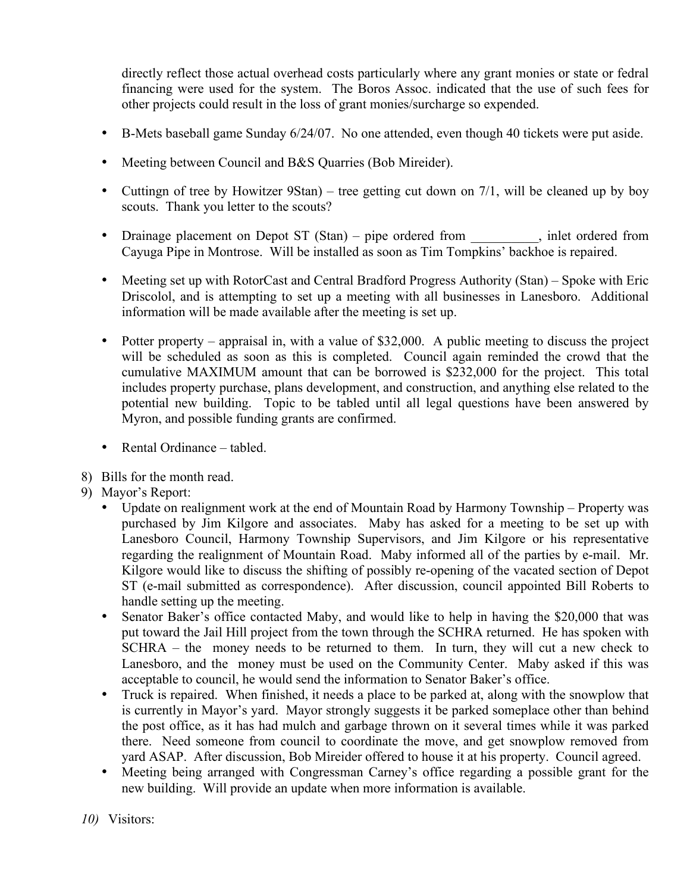directly reflect those actual overhead costs particularly where any grant monies or state or fedral financing were used for the system. The Boros Assoc. indicated that the use of such fees for other projects could result in the loss of grant monies/surcharge so expended.

- B-Mets baseball game Sunday 6/24/07. No one attended, even though 40 tickets were put aside.
- Meeting between Council and B&S Quarries (Bob Mireider).
- Cutting of tree by Howitzer 9Stan) tree getting cut down on 7/1, will be cleaned up by boy scouts. Thank you letter to the scouts?
- Drainage placement on Depot ST (Stan) pipe ordered from , inlet ordered from Cayuga Pipe in Montrose. Will be installed as soon as Tim Tompkins' backhoe is repaired.
- Meeting set up with RotorCast and Central Bradford Progress Authority (Stan) Spoke with Eric Driscolol, and is attempting to set up a meeting with all businesses in Lanesboro. Additional information will be made available after the meeting is set up.
- Potter property appraisal in, with a value of \$32,000. A public meeting to discuss the project will be scheduled as soon as this is completed. Council again reminded the crowd that the cumulative MAXIMUM amount that can be borrowed is \$232,000 for the project. This total includes property purchase, plans development, and construction, and anything else related to the potential new building. Topic to be tabled until all legal questions have been answered by Myron, and possible funding grants are confirmed.
- Rental Ordinance tabled.
- 8) Bills for the month read.
- 9) Mayor's Report:
	- Update on realignment work at the end of Mountain Road by Harmony Township Property was purchased by Jim Kilgore and associates. Maby has asked for a meeting to be set up with Lanesboro Council, Harmony Township Supervisors, and Jim Kilgore or his representative regarding the realignment of Mountain Road. Maby informed all of the parties by e-mail. Mr. Kilgore would like to discuss the shifting of possibly re-opening of the vacated section of Depot ST (e-mail submitted as correspondence). After discussion, council appointed Bill Roberts to handle setting up the meeting.
	- Senator Baker's office contacted Maby, and would like to help in having the \$20,000 that was put toward the Jail Hill project from the town through the SCHRA returned. He has spoken with SCHRA – the money needs to be returned to them. In turn, they will cut a new check to Lanesboro, and the money must be used on the Community Center. Maby asked if this was acceptable to council, he would send the information to Senator Baker's office.
	- Truck is repaired. When finished, it needs a place to be parked at, along with the snowplow that is currently in Mayor's yard. Mayor strongly suggests it be parked someplace other than behind the post office, as it has had mulch and garbage thrown on it several times while it was parked there. Need someone from council to coordinate the move, and get snowplow removed from yard ASAP. After discussion, Bob Mireider offered to house it at his property. Council agreed.
	- Meeting being arranged with Congressman Carney's office regarding a possible grant for the new building. Will provide an update when more information is available.